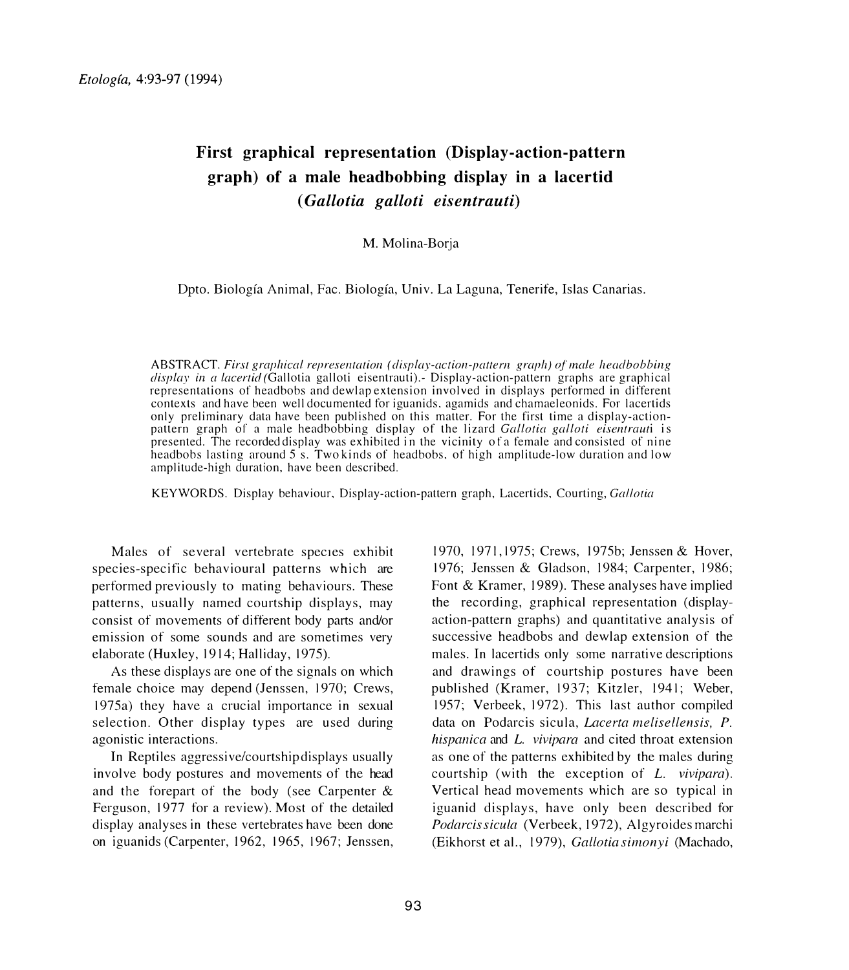## **First graphical representation (Display-action-pattern graph) of a male headbobbing display in a lacertid**  ( *Gallotia galloti eisentrauti)*

M. Molina-Borja

Dpto. Biologfa Animal, Fae. Biologfa, Univ. La Laguna, Tenerife, Islas Canarias.

ABSTRACT. First graphical representation (display-action-pattern graph) of male headbobbing  $display in a *lacertid* (Gallotia galloti eisentrauti).- Display-action-pattern graphs are graphical$ representations of headbobs and dewlap extension involved in displays performed in different contexts and have been well documented for iguanids. agamids and chamaeleonids. For laccrtids only preliminary data have been published on this matter. For the first time a display-actionpattern graph of a male headbobbing display of the lizard Gallotia galloti eisentrauti is presented. The recorded display was exhibited in the vicinity of a female and consisted of nine headbobs lasting around 5 s. Two kinds of headbobs. of high amplitude-low duration and low amplitude-high duration, have been described.

KEYWORDS. Display behaviour. Display-action-pattern graph. Lacertids. Courting, Gallotia

Males of several vertebrate species exhibit species-specific behavioural patterns which are performed previously to mating behaviours. These patterns, usually named courtship displays, may consist of movements of different body parts and/or emission of some sounds and are sometimes very elaborate (Huxley, 1914; Halliday, 1975).

As these displays are one of the signals on which female choice may depend (Jenssen, 1970; Crews, 1975a) they have a crucial importance in sexual selection. Other display types are used during agonistic interactions.

In Reptiles aggressive/courtship displays usually involve body postures and movements of the head and the forepart of the body (see Carpenter & Ferguson, 1977 for a review). Most of the detailed display analyses in these vertebrates have been done on iguanids (Carpenter, 1962, 1965, 1967; Jenssen, 1970. 1971, 1975; Crews, 1975b; Jensscn & Hover, 1976; Jenssen & Gladson, 1984; Carpenter, 1986; Font & Kramer, 1989). These analyses have implied the recording, graphical representation (displayaction-pattern graphs) and quantitative analysis of successive headbobs and dewlap extension of the males. In lacertids only some narrative descriptions and drawings of courtship postures have been published (Kramer, 1937; Kitzler, 1941; Weber, 1957; Verbeek, 1972). This last author compiled data on Podarcis sicula, *Lacerta melise/lensis, P. hispanica* and *L. vivipara* and cited throat extension as one of the patterns exhibited by the males during courtship (with the exception of L. *vivipara).*  Vertical head movements which are so typical in iguanid displays, have only been described for *Podarcis sicula* (Verbeck, 1972), Algyroides marchi (Eikhorst ct al., 1979), *Gallotia simonyi* (Machado,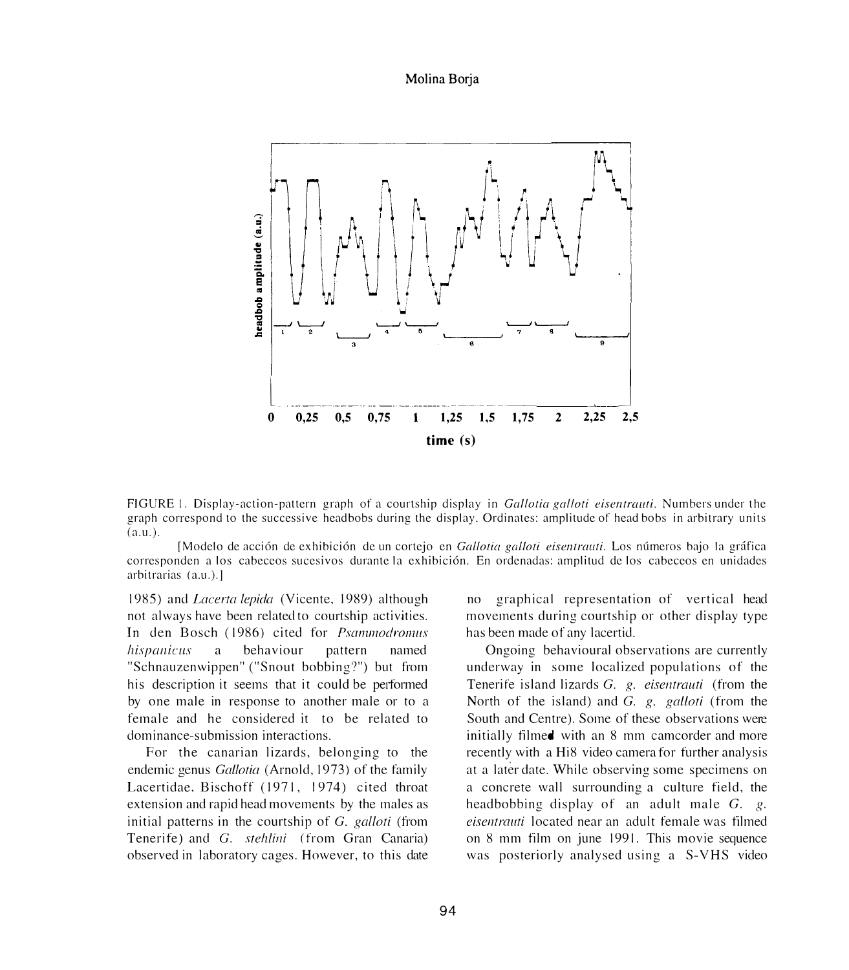Molina Borja



FIGURE 1. Display-action-pattern graph of a courtship display in *Gallotia galloti eisentrauti*. Numbers under the graph correspond to the successive headbohs during the display. Ordinates: amplitude or head bobs in arbitrary units  $(a.u.).$ 

[Modelo de acción de exhibición de un cortejo en *Gallotia galloti eisentrauti*. Los números bajo la gráfica corresponden a los cabeceos sucesivos durante la exhibición. En ordenadas: amplitud de los cabeceos en unidades arhitrarias (a.u.).]

1985) and *Lacerta lepida* (Vicente, 1989) although not always have been related to courtship activities. In den Bosch (1986) cited for *Psammodromus hispanicus* a behaviour pattern named "Schnauzenwippen" ("Snout bobbing?") but from his description it seems that it could be performed by one male in response to another male or to a female and he considered it to be related to dominance-submission interactions.

For the canarian lizards, belonging to the endemic genus *Gallotiu* (Arnold, 1973) of the family Lacertidae, Bischoff (1971, 1974) cited throat extension and rapid head movements by the males as initial patterns in the courtship of *G. gal/oti* (f<sup>r</sup>om Tenerife) and *G. steh/ini* (from Gran Canaria) observed in laboratory cages. However, to this date

no graphical representation of vertical head movements during courtship or other display type has been made of any lacertid.

Ongoing behavioural observations are currently underway in some localized populations of the Tenerife island lizards *G. g. eisentrauti* (from the North of the island) and G. *g. galloti* (from the South and Centre). Some of these observations were initially filmed with an 8 mm camcorder and more recently with a Hi8 video camera for further analysis at a later date. While observing some specimens on a concrete wall surrounding a culture field, the headbobbing display of an adult male *G. g. eisentrauti* located near an adult female was filmed on 8 mm film on june 1991. This movie sequence was posteriorly analysed using a S-YHS video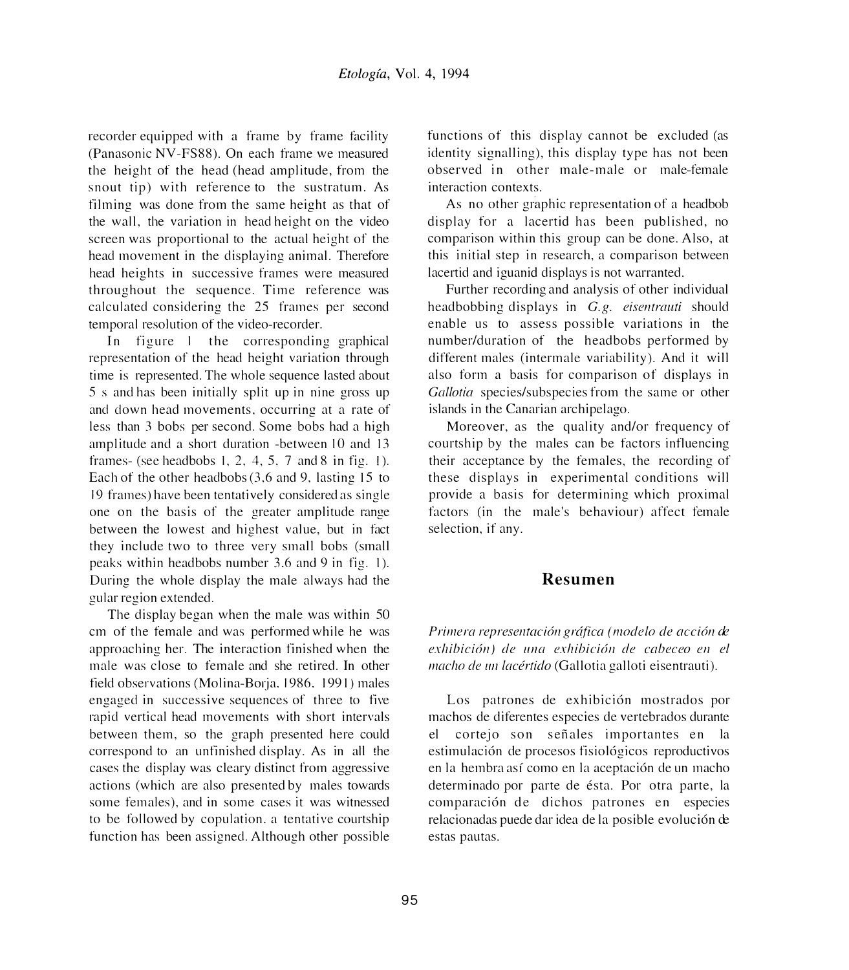recorder equipped with a frame by frame facility (Panasonic NV-FS88). On each frame we measured the height of the head (head amplitude, from the snout tip) with reference to the sustratum. As filming was done from the same height as that of the wall, the variation in head height on the video screen was proportional to the actual height of the head movement in the displaying animal. Therefore head heights in successive frames were measured throughout the sequence. Time reference was calculated considering the 25 frames per second temporal resolution of the video-recorder.

In figure I the corresponding graphical representation of the head height variation through time is represented. The whole sequence lasted about 5 s and has been initially split up in nine gross up and down head movements, occurring at a rate of less than 3 bobs per second. Some bobs had a high amplitude and a short duration -between 10 and 13 frames- (see headbobs 1, 2, 4, 5, 7 and 8 in fig. 1). Each of the other heaclbobs (3,6 and 9, lasting 15 to 19 frames) have been tentatively considered as single one on the basis of the greater amplitude range between the lowest and highest value, but in fact they include two to three very small bobs (small peaks within headbobs number 3.6 and 9 in fig. 1). During the whole display the male always had the gular region extended.

The display began when the male was within 50 cm of the female and was performed while he was approaching her. The interaction finished when the male was close to female and she retired. In other field observations (Molina-Borja, 1986, 1991) males engaged in successive sequences of three to five rapid vertical head movements with short intervals between them, so the graph presented here could correspond to an unfinished display. As in all the cases the display was cleary distinct from aggressive actions (which are also presented by males towards some females), and in some cases it was witnessed to be followed by copulation. a tentative courtship function has been assigned. Although other possible

functions of this display cannot be excluded (as identity signalling), this display type has not been observed in other male-male or male-female interaction contexts.

As no other graphic representation of a headbob display for a lacertid has been published, no comparison within this group can be done. Also, at this initial step in research, a comparison between lacertid and iguanid displays is not warranted.

Further recording and analysis of other individual headbobbing displays in *G.g. eisentrauti* should enable us to assess possible variations in the number/duration of the headbobs performed by different males (intermale variability). And it will also form a basis for comparison of displays in *Gallotia* species/subspecies from the same or other islands in the Canarian archipelago.

Moreover, as the quality and/or frequency of courtship by the males can be factors influencing their acceptance by the females, the recording of these displays in experimental conditions will provide a basis for determining which proximal factors (in the male's behaviour) affect female selection, if any.

## **Resumen**

*Primera representación gráfica (modelo de acción de exhibición) de una exhibición de cabeceo en el macho de un lacértido* (Gallotia galloti eisentrauti).

Los patrones de exhibición mostrados por machos de diferentes especies de vertebrados durante el cortejo son sefiales importantes en la estimulación de procesos fisiológicos reproductivos en la hembra así como en la aceptación de un macho determinado por parte de ésta. Por otra parte, la comparaci6n de dichos patrones en especies relacionadas puede dar idea de la posible evolución de estas pautas.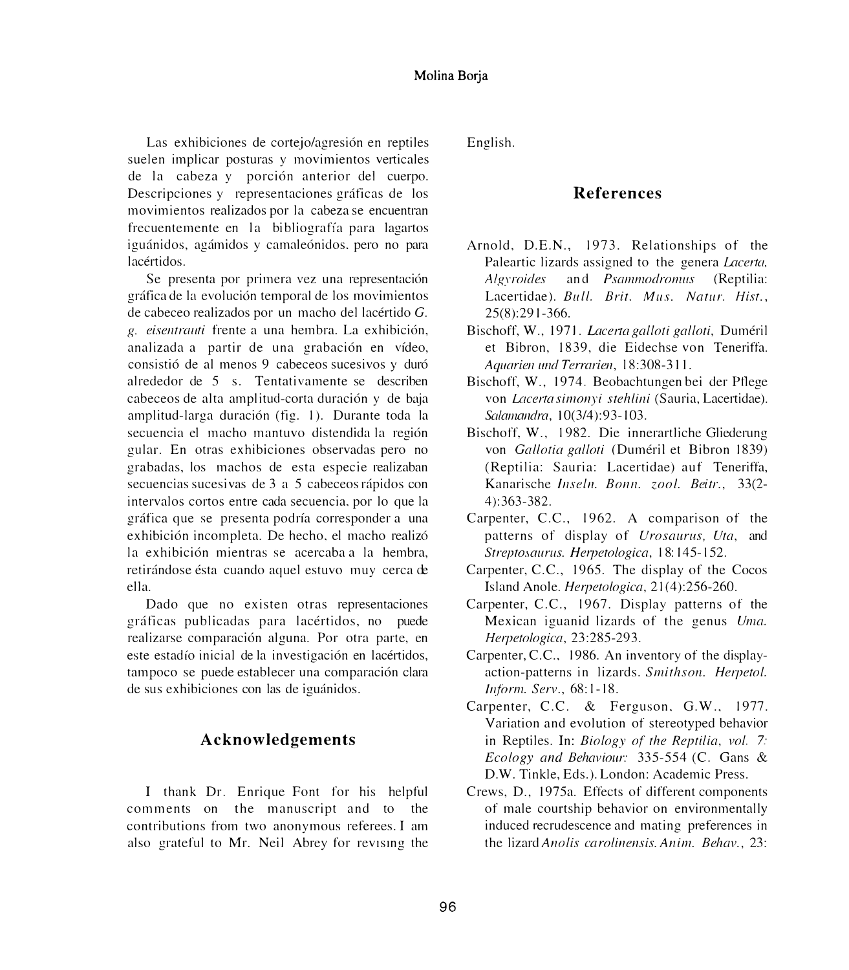Las exhibiciones de cortejo/agresión en reptiles suelen implicar posturas y movimientos verticales de la cabeza y porción anterior del cuerpo. Descripciones y representaciones gráficas de los movimientos realizados por la cabeza se encuentran frecuentemente en la bibliografía para lagartos iguánidos, agámidos y camaleónidos, pero no para lacértidos.

Se presenta por primera vez una representación gráfica de la evolución temporal de los movimientos de cabeceo realizados por un macho del lacértido  $G$ . *g. eisentro11ti* frente a una hembra. La cxhibici6n. analizada a partir de una grabación en vídeo, consistió de al menos 9 cabeceos sucesivos y duró alrededor de 5 s. Tentativamente se describen cabeceos de alta amplitud-corta duración y de baja amplitud-larga duración (fig. 1). Durante toda la secuencia el macho mantuvo distendida la región gular. En otras exhibiciones observadas pero no grabadas. los machos de esta especie realizaban secuencias sucesivas de 3 a 5 cabeceos rápidos con intervalos cortos entre cada secuencia, por lo que la gráfica que se presenta podría corresponder a una exhibición incompleta. De hecho, el macho realizó la exhibición mientras se acercaba a la hembra, retirándose ésta cuando aquel estuvo muy cerca de ella.

Dado que no existen otras representaciones gráficas publicadas para lacértidos, no puede realizarse comparación alguna. Por otra parte, en este estadío inicial de la investigación en lacértidos, tampoco se puede establecer una comparación clara de sus exhibiciones con las de iguánidos.

## **Acknowledgements**

I thank Dr. Enrique Font for his helpful comments on the manuscript and to the contributions from two anonymous referees. I am also grateful to Mr. Neil Abrey for revising the English.

## **References**

- Arnold, D.E.N., 1973. Relationships of the Paleartic lizards assigned to the genera *Lacerta*, *Algyroides* and *Psammodromus* (Reptilia: Lacertidae). *Bull. Brit. Mus. Natur. Hist.*, 25(8):291-366.
- Bischoff, W., 1971. *lacerta galloti galloti,* Dumeril et Bibron, 1839, die Eidechse von Teneriffa. *Aquarien und Terrarien, 18:308-311.*
- Bischoff, W., 1974. Beobachtungen bei der Pflege von *L{{certa sinwnyi stehlini* (Sauria, Lacertidae). *Solamandra,* 10(3/4):93-103.
- Bischoff, W., 1982. Die innerartliche Gliederung von *Gallotia galloti* (Duméril et Bibron 1839) (Reptilia: Sauria: Lacertidae) auf Teneriffa, Kanarische *lnseln. Bonn. zao/. Beitr.,* 33(2- 4 ):363-382.
- Carpenter, C.C., 1962. A comparison of the patterns of display of *Urosaurus, Uta,* and *Strepto.1aurus. Herpetofogica,* I 8: 145-I 52.
- Carpenter, C.C., 1965. The display of the Cocos Island Anole. *Herpetologica*, 21(4):256-260.
- Carpenter, C.C., 1967. Display patterns of the Mexican iguanid lizards of the genus *Uma. He,petofogica,* 23:285-293.
- Carpenter, C.C.. 1986. An inventory of the displayaction-patterns in lizards. *Smithson. Herpetol. Inform. Serv.,* 68: 1-18.
- Carpenter, C.C. & Ferguson. G.W., 1977. Variation and evolution of stereotyped behavior in Reptiles. In: *Biology of the Reptilia, vol. 7: Ecology and Behaviour:* 335-554 (C. Gans & D.W. Tinkle, Eds.). London: Academic Press.
- Crews, D., 1975a. Effects of different components of male courtship behavior on environmentally induced recrudescence and mating preferences in the lizard *Anolis carolinensis. Anim. Behav.,* 23: